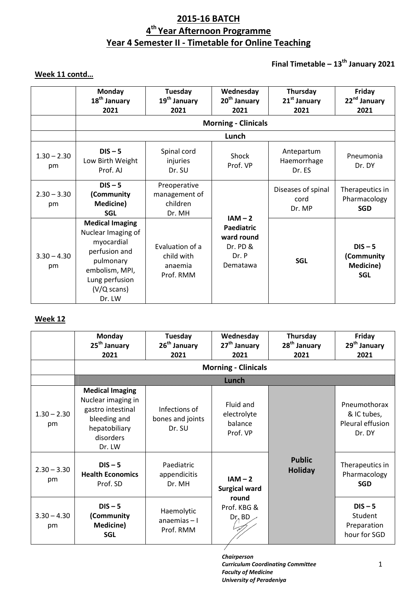# **2015-16 BATCH 4 th Year Afternoon Programme Year 4 Semester II - Timetable for Online Teaching**

# **Final Timetable – 13 th January 2021**

# **Week 11 contd…**

|                     | <b>Monday</b><br>18 <sup>th</sup> January<br>2021                                                                                                               | Tuesday<br>19 <sup>th</sup> January<br>2021           | Wednesday<br>20 <sup>th</sup> January<br>2021                                 | Thursday<br>21 <sup>st</sup> January<br>2021 | Friday<br>22 <sup>nd</sup> January<br>2021         |  |  |
|---------------------|-----------------------------------------------------------------------------------------------------------------------------------------------------------------|-------------------------------------------------------|-------------------------------------------------------------------------------|----------------------------------------------|----------------------------------------------------|--|--|
|                     | <b>Morning - Clinicals</b>                                                                                                                                      |                                                       |                                                                               |                                              |                                                    |  |  |
|                     |                                                                                                                                                                 |                                                       | Lunch                                                                         |                                              |                                                    |  |  |
| $1.30 - 2.30$<br>pm | $DIS - 5$<br>Low Birth Weight<br>Prof. AJ                                                                                                                       | Spinal cord<br>injuries<br>Dr. SU                     | Shock<br>Prof. VP                                                             | Antepartum<br>Haemorrhage<br>Dr. ES          | Pneumonia<br>Dr. DY                                |  |  |
| $2.30 - 3.30$<br>pm | $DIS - 5$<br>(Community<br><b>Medicine)</b><br><b>SGL</b>                                                                                                       | Preoperative<br>management of<br>children<br>Dr. MH   |                                                                               | Diseases of spinal<br>cord<br>Dr. MP         | Therapeutics in<br>Pharmacology<br><b>SGD</b>      |  |  |
| $3.30 - 4.30$<br>pm | <b>Medical Imaging</b><br>Nuclear Imaging of<br>myocardial<br>perfusion and<br>pulmonary<br>embolism, MPI,<br>Lung perfusion<br>$(V/Q \text{ scans})$<br>Dr. LW | Evaluation of a<br>child with<br>anaemia<br>Prof. RMM | $IAM - 2$<br><b>Paediatric</b><br>ward round<br>Dr. PD &<br>Dr. P<br>Dematawa | <b>SGL</b>                                   | $DIS - 5$<br>(Community<br>Medicine)<br><b>SGL</b> |  |  |

## **Week 12**

|                     | Monday<br>25 <sup>th</sup> January<br>2021                                                                                | Tuesday<br>26 <sup>th</sup> January<br>2021 | Wednesday<br>27 <sup>th</sup> January<br>2021   | Thursday<br>28 <sup>th</sup> January<br>2021 | Friday<br>29 <sup>th</sup> January<br>2021                |
|---------------------|---------------------------------------------------------------------------------------------------------------------------|---------------------------------------------|-------------------------------------------------|----------------------------------------------|-----------------------------------------------------------|
|                     |                                                                                                                           |                                             | <b>Morning - Clinicals</b>                      |                                              |                                                           |
|                     |                                                                                                                           |                                             | mm                                              |                                              |                                                           |
| $1.30 - 2.30$<br>pm | <b>Medical Imaging</b><br>Nuclear imaging in<br>gastro intestinal<br>bleeding and<br>hepatobiliary<br>disorders<br>Dr. LW | Infections of<br>bones and joints<br>Dr. SU | Fluid and<br>electrolyte<br>balance<br>Prof. VP |                                              | Pneumothorax<br>& IC tubes,<br>Pleural effusion<br>Dr. DY |
| $2.30 - 3.30$<br>pm | $DIS - 5$<br><b>Health Economics</b><br>Prof. SD                                                                          | Paediatric<br>appendicitis<br>Dr. MH        | $IAM - 2$<br><b>Surgical ward</b>               | <b>Public</b><br><b>Holiday</b>              | Therapeutics in<br>Pharmacology<br><b>SGD</b>             |
| $3.30 - 4.30$<br>pm | $DIS - 5$<br>(Community<br><b>Medicine)</b><br><b>SGL</b>                                                                 | Haemolytic<br>$ana$ emias $-1$<br>Prof. RMM | round<br>Prof. KBG &<br>Dr <sub>4</sub> BD      |                                              | $DIS - 5$<br>Student<br>Preparation<br>hour for SGD       |

*Chairperson Curriculum Coordinating Committee Faculty of Medicine University of Peradeniya*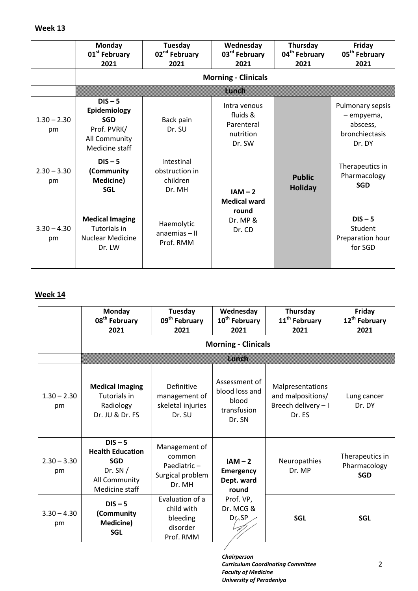# **Week 13**

|                     | <b>Monday</b><br>01 <sup>st</sup> February<br>2021                                        | Tuesday<br>02 <sup>nd</sup> February<br>2021       | Wednesday<br>03 <sup>rd</sup> February<br>2021                  | Thursday<br>04 <sup>th</sup> February<br>2021 | Friday<br>05 <sup>th</sup> February<br>2021                            |
|---------------------|-------------------------------------------------------------------------------------------|----------------------------------------------------|-----------------------------------------------------------------|-----------------------------------------------|------------------------------------------------------------------------|
|                     |                                                                                           |                                                    | <b>Morning - Clinicals</b>                                      |                                               |                                                                        |
|                     |                                                                                           |                                                    | mm                                                              |                                               |                                                                        |
| $1.30 - 2.30$<br>pm | $DIS - 5$<br>Epidemiology<br><b>SGD</b><br>Prof. PVRK/<br>All Community<br>Medicine staff | Back pain<br>Dr. SU                                | Intra venous<br>fluids &<br>Parenteral<br>nutrition<br>Dr. SW   |                                               | Pulmonary sepsis<br>- empyema,<br>abscess,<br>bronchiectasis<br>Dr. DY |
| $2.30 - 3.30$<br>pm | $DIS - 5$<br>(Community<br>Medicine)<br><b>SGL</b>                                        | Intestinal<br>obstruction in<br>children<br>Dr. MH | $IAM - 2$<br><b>Medical ward</b><br>round<br>Dr. MP &<br>Dr. CD | <b>Public</b><br><b>Holiday</b>               | Therapeutics in<br>Pharmacology<br><b>SGD</b>                          |
| $3.30 - 4.30$<br>pm | <b>Medical Imaging</b><br>Tutorials in<br><b>Nuclear Medicine</b><br>Dr. LW               | Haemolytic<br>$an$ aemias – II<br>Prof. RMM        |                                                                 |                                               | $DIS - 5$<br>Student<br>Preparation hour<br>for SGD                    |

## **Week 14**

|                     | <b>Monday</b><br>08 <sup>th</sup> February<br>2021                                                 | Tuesday<br>09 <sup>th</sup> February<br>2021                         | Wednesday<br>10 <sup>th</sup> February<br>2021                    | Thursday<br>11 <sup>th</sup> February<br>2021                          | Friday<br>12 <sup>th</sup> February<br>2021   |  |  |  |
|---------------------|----------------------------------------------------------------------------------------------------|----------------------------------------------------------------------|-------------------------------------------------------------------|------------------------------------------------------------------------|-----------------------------------------------|--|--|--|
|                     |                                                                                                    | <b>Morning - Clinicals</b>                                           |                                                                   |                                                                        |                                               |  |  |  |
|                     |                                                                                                    |                                                                      | mman                                                              |                                                                        |                                               |  |  |  |
| $1.30 - 2.30$<br>pm | <b>Medical Imaging</b><br>Tutorials in<br>Radiology<br>Dr. JU & Dr. FS                             | Definitive<br>management of<br>skeletal injuries<br>Dr. SU           | Assessment of<br>blood loss and<br>blood<br>transfusion<br>Dr. SN | Malpresentations<br>and malpositions/<br>Breech delivery - I<br>Dr. ES | Lung cancer<br>Dr. DY                         |  |  |  |
| $2.30 - 3.30$<br>pm | $DIS - 5$<br><b>Health Education</b><br><b>SGD</b><br>Dr. $SN/$<br>All Community<br>Medicine staff | Management of<br>common<br>Paediatric-<br>Surgical problem<br>Dr. MH | $IAM - 2$<br><b>Emergency</b><br>Dept. ward<br>round              | Neuropathies<br>Dr. MP                                                 | Therapeutics in<br>Pharmacology<br><b>SGD</b> |  |  |  |
| $3.30 - 4.30$<br>pm | $DIS - 5$<br>(Community<br><b>Medicine)</b><br><b>SGL</b>                                          | Evaluation of a<br>child with<br>bleeding<br>disorder<br>Prof. RMM   | Prof. VP,<br>Dr. MCG &<br>$DrA$ SP                                | <b>SGL</b>                                                             | <b>SGL</b>                                    |  |  |  |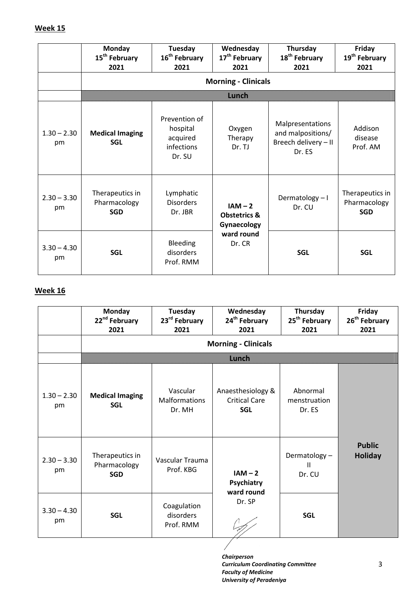## **Week 15**

|                     | <b>Monday</b><br>15 <sup>th</sup> February<br>2021 | Tuesday<br>16 <sup>th</sup> February<br>2021                  | Wednesday<br>17 <sup>th</sup> February<br>2021                              | Thursday<br>18 <sup>th</sup> February<br>2021                           | Friday<br>19 <sup>th</sup> February<br>2021   |
|---------------------|----------------------------------------------------|---------------------------------------------------------------|-----------------------------------------------------------------------------|-------------------------------------------------------------------------|-----------------------------------------------|
|                     |                                                    |                                                               | <b>Morning - Clinicals</b>                                                  |                                                                         |                                               |
|                     |                                                    |                                                               | Whoh                                                                        |                                                                         |                                               |
| $1.30 - 2.30$<br>pm | <b>Medical Imaging</b><br><b>SGL</b>               | Prevention of<br>hospital<br>acquired<br>infections<br>Dr. SU | Oxygen<br>Therapy<br>Dr. TJ                                                 | Malpresentations<br>and malpositions/<br>Breech delivery - II<br>Dr. ES | Addison<br>disease<br>Prof. AM                |
| $2.30 - 3.30$<br>pm | Therapeutics in<br>Pharmacology<br><b>SGD</b>      | Lymphatic<br><b>Disorders</b><br>Dr. JBR                      | $IAM - 2$<br><b>Obstetrics &amp;</b><br>Gynaecology<br>ward round<br>Dr. CR | Dermatology-I<br>Dr. CU                                                 | Therapeutics in<br>Pharmacology<br><b>SGD</b> |
| $3.30 - 4.30$<br>pm | <b>SGL</b>                                         | Bleeding<br>disorders<br>Prof. RMM                            |                                                                             | <b>SGL</b>                                                              | <b>SGL</b>                                    |

# **Week 16**

|                     | <b>Monday</b><br>22 <sup>nd</sup> February<br>2021 | <b>Tuesday</b><br>23 <sup>rd</sup> February<br>2021 | Wednesday<br>24 <sup>th</sup> February<br>2021          | Thursday<br>25 <sup>th</sup> February<br>2021 | Friday<br>26 <sup>th</sup> February<br>2021 |
|---------------------|----------------------------------------------------|-----------------------------------------------------|---------------------------------------------------------|-----------------------------------------------|---------------------------------------------|
|                     |                                                    |                                                     | <b>Morning - Clinicals</b>                              |                                               |                                             |
|                     |                                                    |                                                     | <b>Lunch</b>                                            |                                               |                                             |
| $1.30 - 2.30$<br>pm | <b>Medical Imaging</b><br><b>SGL</b>               | Vascular<br><b>Malformations</b><br>Dr. MH          | Anaesthesiology &<br><b>Critical Care</b><br><b>SGL</b> | Abnormal<br>menstruation<br>Dr. ES            |                                             |
| $2.30 - 3.30$<br>pm | Therapeutics in<br>Pharmacology<br><b>SGD</b>      | Vascular Trauma<br>Prof. KBG                        | $IAM - 2$<br>Psychiatry<br>ward round                   | Dermatology-<br>$\mathbf{II}$<br>Dr. CU       | <b>Public</b><br><b>Holiday</b>             |
| $3.30 - 4.30$<br>pm | <b>SGL</b>                                         | Coagulation<br>disorders<br>Prof. RMM               | Dr. SP                                                  | <b>SGL</b>                                    |                                             |
|                     |                                                    |                                                     |                                                         |                                               |                                             |

*Chairperson Curriculum Coordinating Committee Faculty of Medicine University of Peradeniya*